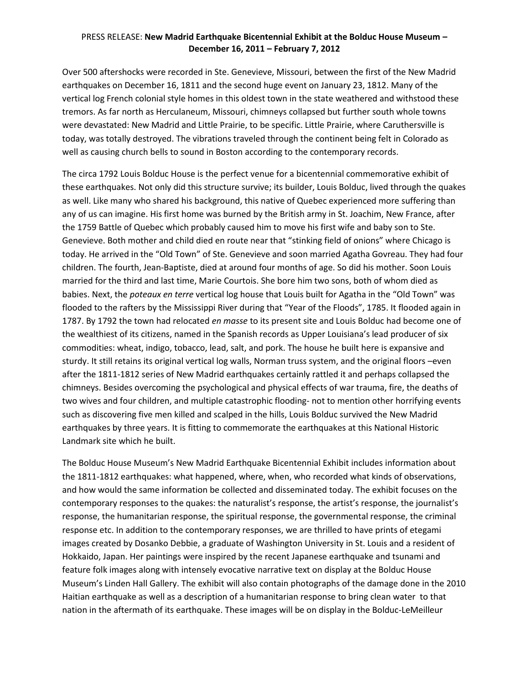## PRESS RELEASE: **New Madrid Earthquake Bicentennial Exhibit at the Bolduc House Museum – December 16, 2011 – February 7, 2012**

Over 500 aftershocks were recorded in Ste. Genevieve, Missouri, between the first of the New Madrid earthquakes on December 16, 1811 and the second huge event on January 23, 1812. Many of the vertical log French colonial style homes in this oldest town in the state weathered and withstood these tremors. As far north as Herculaneum, Missouri, chimneys collapsed but further south whole towns were devastated: New Madrid and Little Prairie, to be specific. Little Prairie, where Caruthersville is today, was totally destroyed. The vibrations traveled through the continent being felt in Colorado as well as causing church bells to sound in Boston according to the contemporary records.

The circa 1792 Louis Bolduc House is the perfect venue for a bicentennial commemorative exhibit of these earthquakes. Not only did this structure survive; its builder, Louis Bolduc, lived through the quakes as well. Like many who shared his background, this native of Quebec experienced more suffering than any of us can imagine. His first home was burned by the British army in St. Joachim, New France, after the 1759 Battle of Quebec which probably caused him to move his first wife and baby son to Ste. Genevieve. Both mother and child died en route near that "stinking field of onions" where Chicago is today. He arrived in the "Old Town" of Ste. Genevieve and soon married Agatha Govreau. They had four children. The fourth, Jean-Baptiste, died at around four months of age. So did his mother. Soon Louis married for the third and last time, Marie Courtois. She bore him two sons, both of whom died as babies. Next, the *poteaux en terre* vertical log house that Louis built for Agatha in the "Old Town" was flooded to the rafters by the Mississippi River during that "Year of the Floods", 1785. It flooded again in 1787. By 1792 the town had relocated *en masse* to its present site and Louis Bolduc had become one of the wealthiest of its citizens, named in the Spanish records as Upper Louisiana's lead producer of six commodities: wheat, indigo, tobacco, lead, salt, and pork. The house he built here is expansive and sturdy. It still retains its original vertical log walls, Norman truss system, and the original floors –even after the 1811-1812 series of New Madrid earthquakes certainly rattled it and perhaps collapsed the chimneys. Besides overcoming the psychological and physical effects of war trauma, fire, the deaths of two wives and four children, and multiple catastrophic flooding- not to mention other horrifying events such as discovering five men killed and scalped in the hills, Louis Bolduc survived the New Madrid earthquakes by three years. It is fitting to commemorate the earthquakes at this National Historic Landmark site which he built.

The Bolduc House Museum's New Madrid Earthquake Bicentennial Exhibit includes information about the 1811-1812 earthquakes: what happened, where, when, who recorded what kinds of observations, and how would the same information be collected and disseminated today. The exhibit focuses on the contemporary responses to the quakes: the naturalist's response, the artist's response, the journalist's response, the humanitarian response, the spiritual response, the governmental response, the criminal response etc. In addition to the contemporary responses, we are thrilled to have prints of etegami images created by Dosanko Debbie, a graduate of Washington University in St. Louis and a resident of Hokkaido, Japan. Her paintings were inspired by the recent Japanese earthquake and tsunami and feature folk images along with intensely evocative narrative text on display at the Bolduc House Museum's Linden Hall Gallery. The exhibit will also contain photographs of the damage done in the 2010 Haitian earthquake as well as a description of a humanitarian response to bring clean water to that nation in the aftermath of its earthquake. These images will be on display in the Bolduc-LeMeilleur